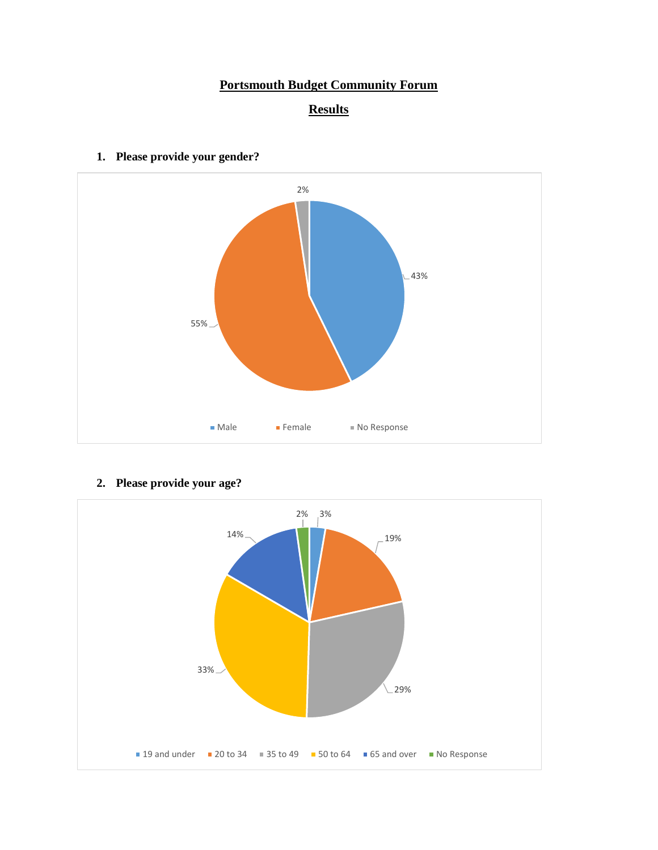# **Portsmouth Budget Community Forum**





**1. Please provide your gender?**

**2. Please provide your age?**

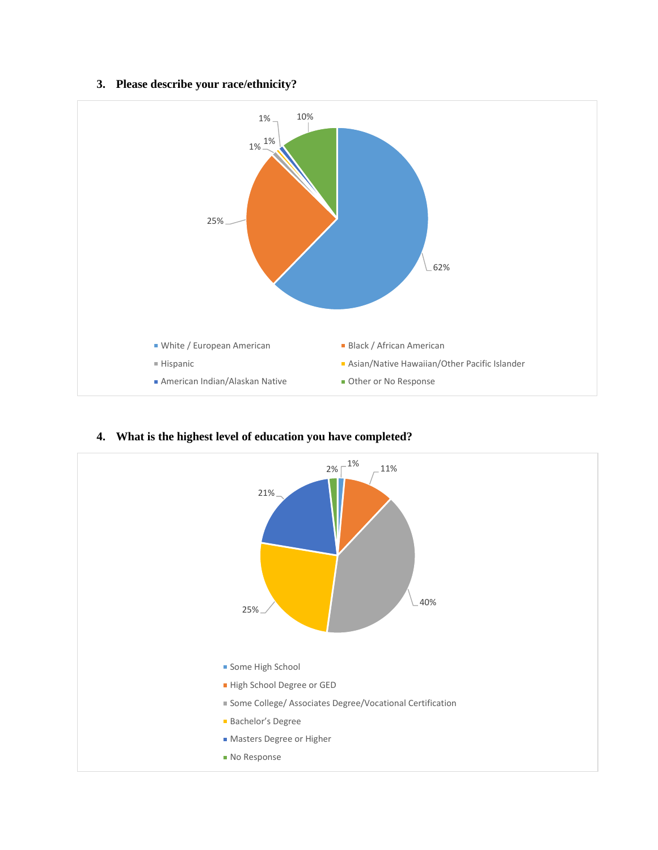### **3. Please describe your race/ethnicity?**





#### **4. What is the highest level of education you have completed?**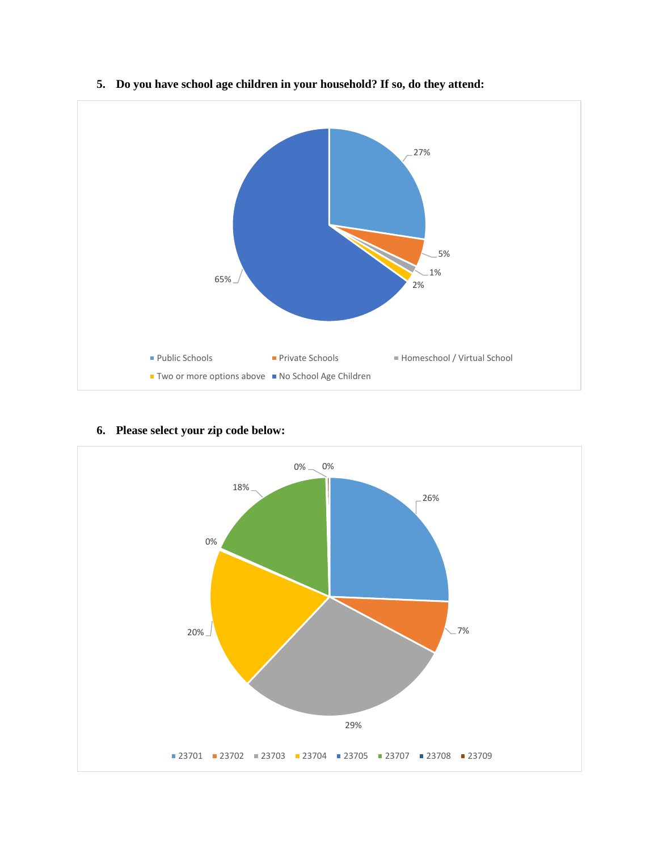

# **5. Do you have school age children in your household? If so, do they attend:**

### **6. Please select your zip code below:**

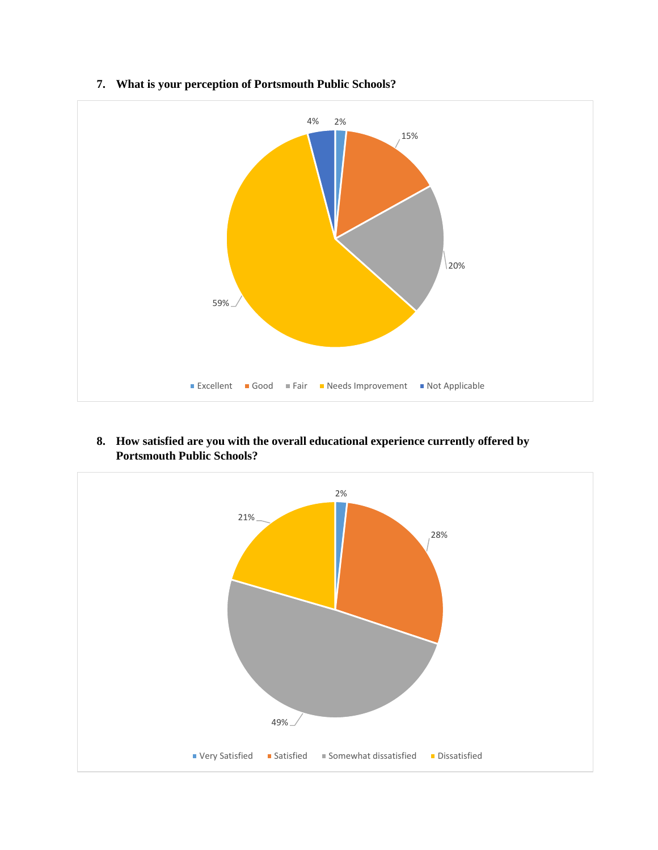

**7. What is your perception of Portsmouth Public Schools?**

**8. How satisfied are you with the overall educational experience currently offered by Portsmouth Public Schools?**

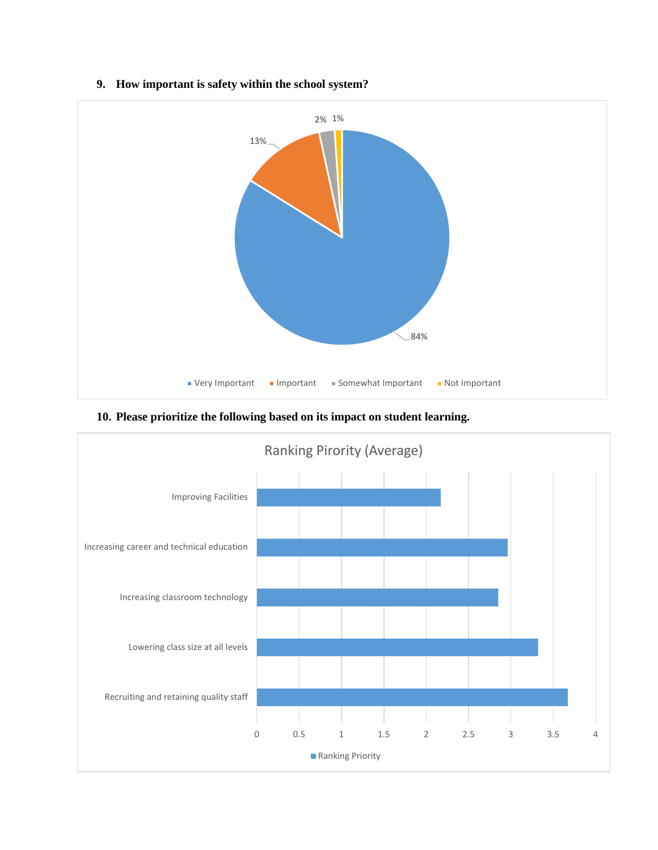

### **9. How important is safety within the school system?**

**10. Please prioritize the following based on its impact on student learning.**

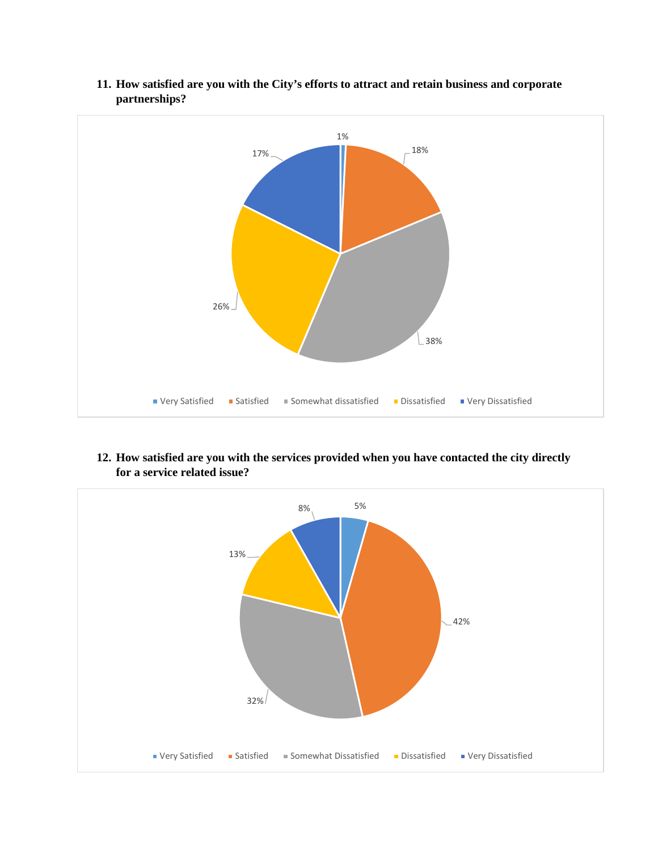

**11. How satisfied are you with the City's efforts to attract and retain business and corporate partnerships?**

**12. How satisfied are you with the services provided when you have contacted the city directly for a service related issue?**

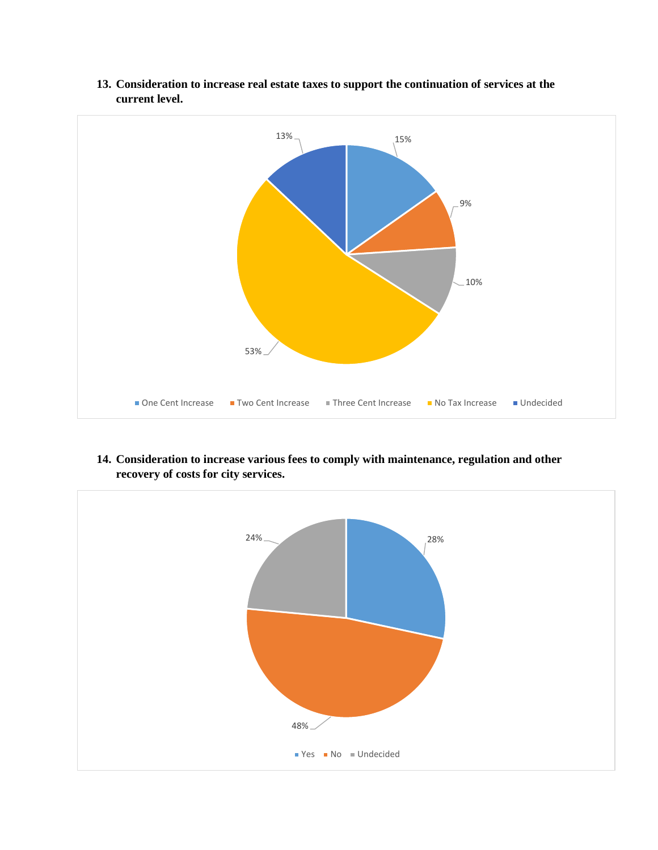

**13. Consideration to increase real estate taxes to support the continuation of services at the current level.**

**14. Consideration to increase various fees to comply with maintenance, regulation and other recovery of costs for city services.**

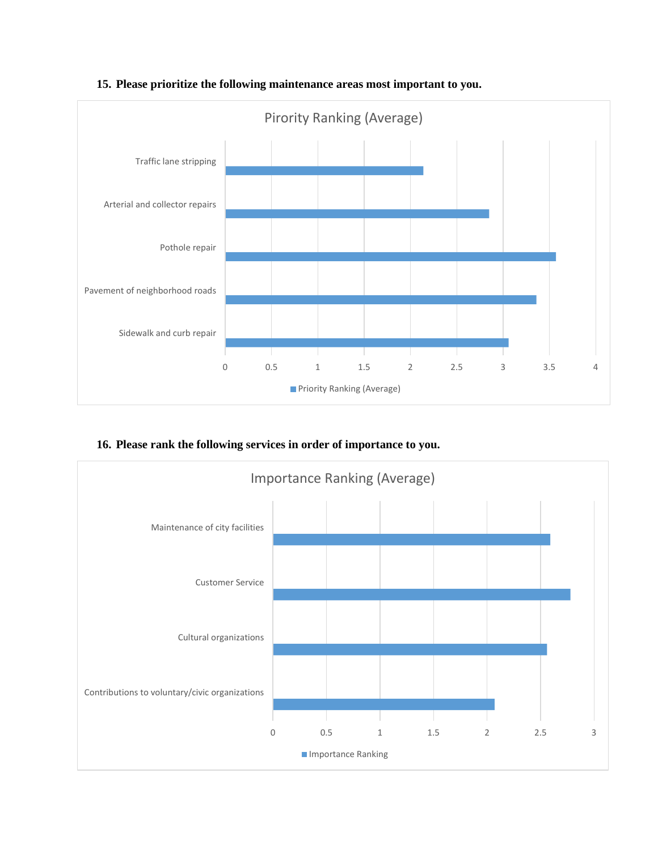

**15. Please prioritize the following maintenance areas most important to you.**

**16. Please rank the following services in order of importance to you.**

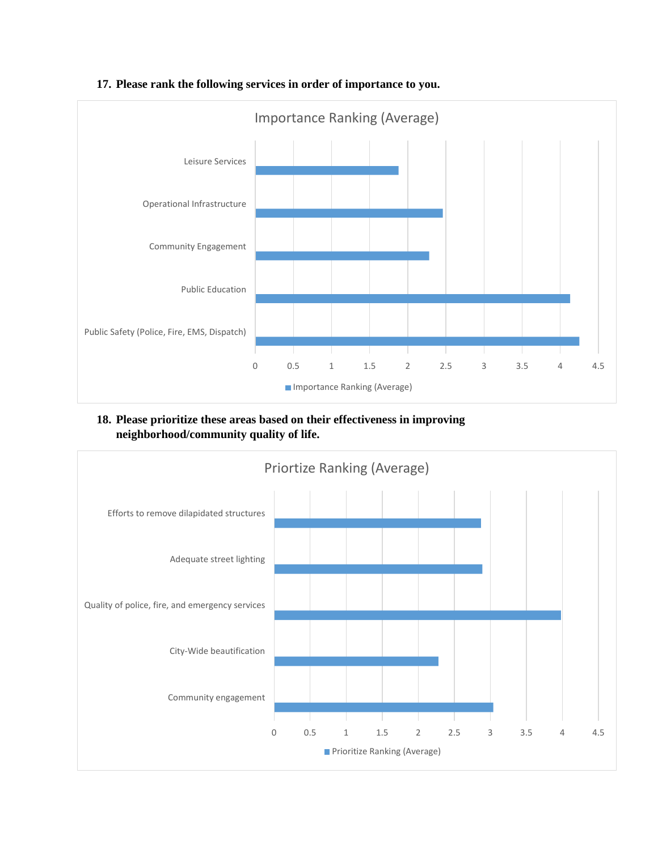

#### **17. Please rank the following services in order of importance to you.**

## **18. Please prioritize these areas based on their effectiveness in improving neighborhood/community quality of life.**